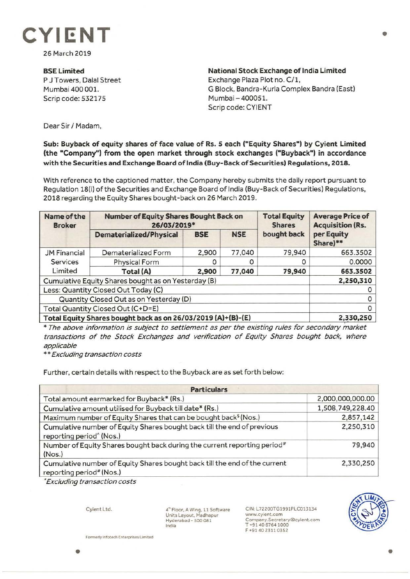

26 March 2019

**BSE Limited**  P J Towers, Dalal Street Mumbai 400 001. Scrip code: 532175

**National Stock Exchange of India Limited**  Exchange Plaza Plot no. C/1, G Block, Bandra-Kurla Complex Sandra (East) Mumbai - 400051. Scrip code: CYIENT

Dear Sir/ Madam,

## **Sub: Buyback of equity shares of face value of Rs. 5 each ("Equity Shares") by Cyient Limited (the "Company") from the open market through stock exchanges ("Buyback") in accordance with the Securities and E.xchange Board of India (Buy-Back of Securities) Regulations, 2018.**

With reference to the captioned matter, the Company hereby submits the daily report pursuant to Regulation 18(i) of the Securities and Exchange Board of India (Buy-Back of Securities) Regulations, 2018 regarding the Equity Shares bought-back on 26 March 2019.

| Name of the<br><b>Broker</b>                                 | <b>Number of Equity Shares Bought Back on</b><br>26/03/2019* |            |            | <b>Total Equity</b><br><b>Shares</b> | <b>Average Price of</b><br><b>Acquisition (Rs.</b> |
|--------------------------------------------------------------|--------------------------------------------------------------|------------|------------|--------------------------------------|----------------------------------------------------|
|                                                              | <b>Dematerialized/Physical</b>                               | <b>BSE</b> | <b>NSE</b> | bought back                          | per Equity<br>Share)**                             |
| <b>JM Financial</b><br>Services<br>Limited                   | Dematerialized Form                                          | 2,900      | 77,040     | 79,940                               | 663.3502                                           |
|                                                              | <b>Physical Form</b>                                         |            |            | O                                    | 0.0000                                             |
|                                                              | Total (A)                                                    | 2,900      | 77,040     | 79,940                               | 663.3502                                           |
| Cumulative Equity Shares bought as on Yesterday (B)          |                                                              |            |            |                                      | 2,250,310                                          |
| Less: Quantity Closed Out Today (C)                          |                                                              |            |            |                                      |                                                    |
| Quantity Closed Out as on Yesterday (D)                      |                                                              |            |            |                                      |                                                    |
| Total Quantity Closed Out (C+D=E)                            |                                                              |            |            |                                      |                                                    |
| Total Equity Shares bought back as on 26/03/2019 (A)+(B)-(E) |                                                              |            |            |                                      | 2,330,250                                          |

\* The above information is subject to settlement as per the existing rules for secondary market transactions of the Stock Exchanges and verification of Equity Shares bought back, where applicable

\*\* Excluding transaction costs

Further, certain details with respect to the Buyback are as set forth below:

| <b>Particulars</b>                                                                                              |                  |  |  |  |
|-----------------------------------------------------------------------------------------------------------------|------------------|--|--|--|
| Total amount earmarked for Buyback* (Rs.)                                                                       | 2,000,000,000.00 |  |  |  |
| Cumulative amount utilised for Buyback till date* (Rs.)                                                         | 1,508,749,228.40 |  |  |  |
| Maximum number of Equity Shares that can be bought back <sup>\$</sup> (Nos.)                                    | 2,857,142        |  |  |  |
| Cumulative number of Equity Shares bought back till the end of previous<br>reporting period <sup>^</sup> (Nos.) | 2,250,310        |  |  |  |
| Number of Equity Shares bought back during the current reporting period <sup>#</sup><br>(Nos.)                  | 79,940           |  |  |  |
| Cumulative number of Equity Shares bought back till the end of the current<br>reporting period# (Nos.)          | 2,330,250        |  |  |  |

• Excluding transaction costs

Cyient Ltd.

4~ Floor, A Wing, 11 Software Units Layout, Madhapur Hyderabad - 500 081 India

CIN:L72200TG1991PLC013134 www.cyient.com Company.Secretary@cyient.com T +91406764 1000 F +9140 23110352



**Formerty lnfotech Enterprises Limited**